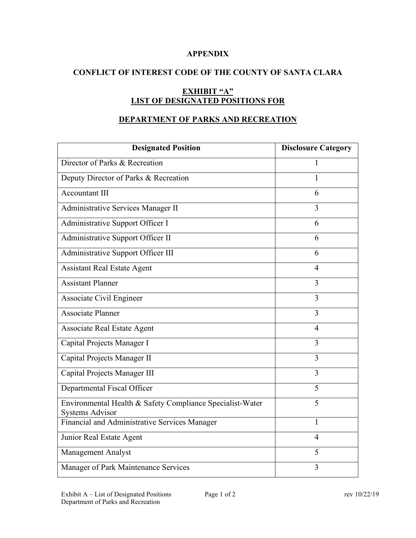## **APPENDIX**

# **CONFLICT OF INTEREST CODE OF THE COUNTY OF SANTA CLARA**

# **EXHIBIT "A" LIST OF DESIGNATED POSITIONS FOR**

## **DEPARTMENT OF PARKS AND RECREATION**

| <b>Designated Position</b>                                | <b>Disclosure Category</b> |
|-----------------------------------------------------------|----------------------------|
| Director of Parks & Recreation                            | $\mathbf{1}$               |
| Deputy Director of Parks & Recreation                     | 1                          |
| <b>Accountant III</b>                                     | 6                          |
| Administrative Services Manager II                        | 3                          |
| Administrative Support Officer I                          | 6                          |
| Administrative Support Officer II                         | 6                          |
| Administrative Support Officer III                        | 6                          |
| <b>Assistant Real Estate Agent</b>                        | $\overline{4}$             |
| <b>Assistant Planner</b>                                  | 3                          |
| Associate Civil Engineer                                  | 3                          |
| <b>Associate Planner</b>                                  | 3                          |
| <b>Associate Real Estate Agent</b>                        | $\overline{4}$             |
| Capital Projects Manager I                                | $\overline{3}$             |
| Capital Projects Manager II                               | 3                          |
| Capital Projects Manager III                              | $\overline{3}$             |
| Departmental Fiscal Officer                               | 5                          |
| Environmental Health & Safety Compliance Specialist-Water | 5                          |
| <b>Systems Advisor</b>                                    |                            |
| Financial and Administrative Services Manager             | 1                          |
| Junior Real Estate Agent                                  | $\overline{4}$             |
| Management Analyst                                        | 5                          |
| Manager of Park Maintenance Services                      | 3                          |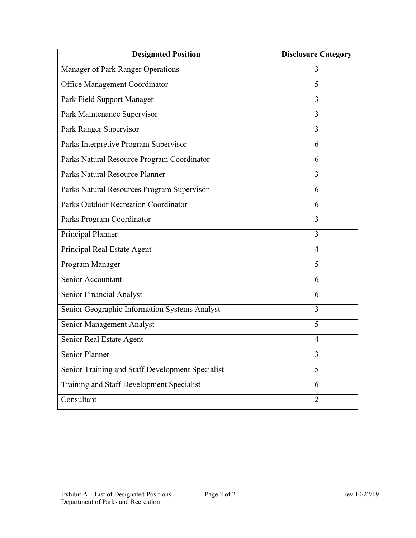| <b>Designated Position</b>                       | <b>Disclosure Category</b> |
|--------------------------------------------------|----------------------------|
| Manager of Park Ranger Operations                | 3                          |
| Office Management Coordinator                    | 5                          |
| Park Field Support Manager                       | 3                          |
| Park Maintenance Supervisor                      | 3                          |
| Park Ranger Supervisor                           | 3                          |
| Parks Interpretive Program Supervisor            | 6                          |
| Parks Natural Resource Program Coordinator       | 6                          |
| Parks Natural Resource Planner                   | 3                          |
| Parks Natural Resources Program Supervisor       | 6                          |
| Parks Outdoor Recreation Coordinator             | 6                          |
| Parks Program Coordinator                        | 3                          |
| Principal Planner                                | 3                          |
| Principal Real Estate Agent                      | 4                          |
| Program Manager                                  | 5                          |
| Senior Accountant                                | 6                          |
| Senior Financial Analyst                         | 6                          |
| Senior Geographic Information Systems Analyst    | 3                          |
| Senior Management Analyst                        | 5                          |
| Senior Real Estate Agent                         | $\overline{4}$             |
| Senior Planner                                   | 3                          |
| Senior Training and Staff Development Specialist | 5                          |
| Training and Staff Development Specialist        | 6                          |
| Consultant                                       | $\overline{2}$             |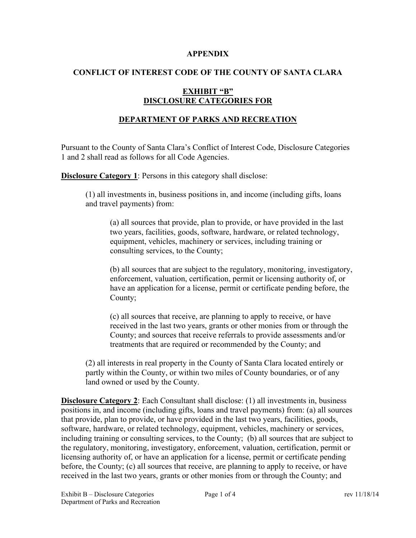#### **APPENDIX**

# **CONFLICT OF INTEREST CODE OF THE COUNTY OF SANTA CLARA**

## **EXHIBIT "B" DISCLOSURE CATEGORIES FOR**

### **DEPARTMENT OF PARKS AND RECREATION**

Pursuant to the County of Santa Clara's Conflict of Interest Code, Disclosure Categories 1 and 2 shall read as follows for all Code Agencies.

**Disclosure Category 1:** Persons in this category shall disclose:

(1) all investments in, business positions in, and income (including gifts, loans and travel payments) from:

(a) all sources that provide, plan to provide, or have provided in the last two years, facilities, goods, software, hardware, or related technology, equipment, vehicles, machinery or services, including training or consulting services, to the County;

(b) all sources that are subject to the regulatory, monitoring, investigatory, enforcement, valuation, certification, permit or licensing authority of, or have an application for a license, permit or certificate pending before, the County;

(c) all sources that receive, are planning to apply to receive, or have received in the last two years, grants or other monies from or through the County; and sources that receive referrals to provide assessments and/or treatments that are required or recommended by the County; and

(2) all interests in real property in the County of Santa Clara located entirely or partly within the County, or within two miles of County boundaries, or of any land owned or used by the County.

**Disclosure Category 2**: Each Consultant shall disclose: (1) all investments in, business positions in, and income (including gifts, loans and travel payments) from: (a) all sources that provide, plan to provide, or have provided in the last two years, facilities, goods, software, hardware, or related technology, equipment, vehicles, machinery or services, including training or consulting services, to the County; (b) all sources that are subject to the regulatory, monitoring, investigatory, enforcement, valuation, certification, permit or licensing authority of, or have an application for a license, permit or certificate pending before, the County; (c) all sources that receive, are planning to apply to receive, or have received in the last two years, grants or other monies from or through the County; and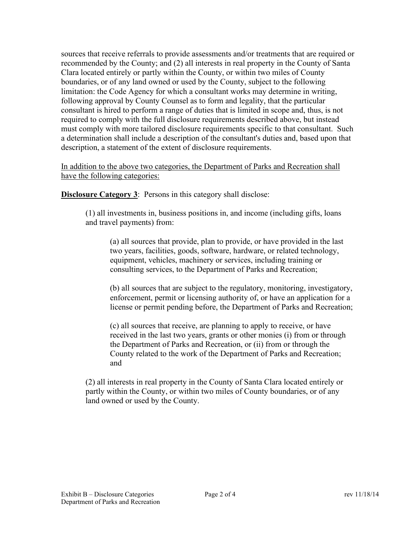sources that receive referrals to provide assessments and/or treatments that are required or recommended by the County; and (2) all interests in real property in the County of Santa Clara located entirely or partly within the County, or within two miles of County boundaries, or of any land owned or used by the County, subject to the following limitation: the Code Agency for which a consultant works may determine in writing, following approval by County Counsel as to form and legality, that the particular consultant is hired to perform a range of duties that is limited in scope and, thus, is not required to comply with the full disclosure requirements described above, but instead must comply with more tailored disclosure requirements specific to that consultant. Such a determination shall include a description of the consultant's duties and, based upon that description, a statement of the extent of disclosure requirements.

In addition to the above two categories, the Department of Parks and Recreation shall have the following categories:

**Disclosure Category 3:** Persons in this category shall disclose:

(1) all investments in, business positions in, and income (including gifts, loans and travel payments) from:

(a) all sources that provide, plan to provide, or have provided in the last two years, facilities, goods, software, hardware, or related technology, equipment, vehicles, machinery or services, including training or consulting services, to the Department of Parks and Recreation;

(b) all sources that are subject to the regulatory, monitoring, investigatory, enforcement, permit or licensing authority of, or have an application for a license or permit pending before, the Department of Parks and Recreation;

(c) all sources that receive, are planning to apply to receive, or have received in the last two years, grants or other monies (i) from or through the Department of Parks and Recreation, or (ii) from or through the County related to the work of the Department of Parks and Recreation; and

(2) all interests in real property in the County of Santa Clara located entirely or partly within the County, or within two miles of County boundaries, or of any land owned or used by the County.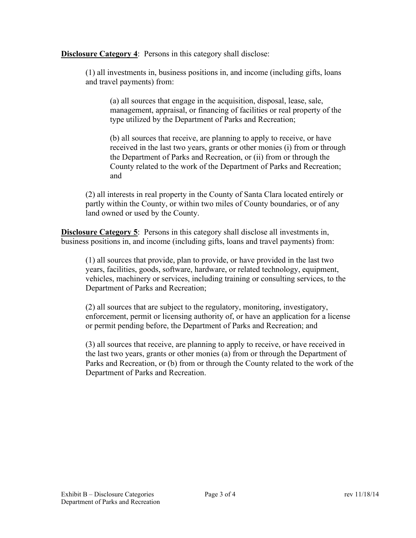**Disclosure Category 4:** Persons in this category shall disclose:

(1) all investments in, business positions in, and income (including gifts, loans and travel payments) from:

(a) all sources that engage in the acquisition, disposal, lease, sale, management, appraisal, or financing of facilities or real property of the type utilized by the Department of Parks and Recreation;

(b) all sources that receive, are planning to apply to receive, or have received in the last two years, grants or other monies (i) from or through the Department of Parks and Recreation, or (ii) from or through the County related to the work of the Department of Parks and Recreation; and

(2) all interests in real property in the County of Santa Clara located entirely or partly within the County, or within two miles of County boundaries, or of any land owned or used by the County.

**Disclosure Category 5**: Persons in this category shall disclose all investments in, business positions in, and income (including gifts, loans and travel payments) from:

(1) all sources that provide, plan to provide, or have provided in the last two years, facilities, goods, software, hardware, or related technology, equipment, vehicles, machinery or services, including training or consulting services, to the Department of Parks and Recreation;

(2) all sources that are subject to the regulatory, monitoring, investigatory, enforcement, permit or licensing authority of, or have an application for a license or permit pending before, the Department of Parks and Recreation; and

(3) all sources that receive, are planning to apply to receive, or have received in the last two years, grants or other monies (a) from or through the Department of Parks and Recreation, or (b) from or through the County related to the work of the Department of Parks and Recreation.